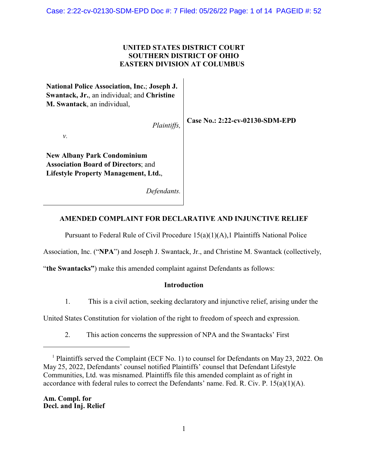Case: 2:22-cv-02130-SDM-EPD Doc #: 7 Filed: 05/26/22 Page: 1 of 14 PAGEID #: 52

## **UNITED STATES DISTRICT COURT SOUTHERN DISTRICT OF OHIO EASTERN DIVISION AT COLUMBUS**

**National Police Association, Inc.**; **Joseph J. Swantack, Jr.**, an individual; and **Christine M. Swantack**, an individual,

*Plaintiffs,*

**Case No.: 2:22-cv-02130-SDM-EPD**

*v.*

**New Albany Park Condominium Association Board of Directors**; and **Lifestyle Property Management, Ltd.**,

*Defendants.*

# **AMENDED COMPLAINT FOR DECLARATIVE AND INJUNCTIVE RELIEF**

Pursuant to Federal Rule of Civil Procedure 15(a)(1)(A),1 Plaintiffs National Police

Association, Inc. ("**NPA**") and Joseph J. Swantack, Jr., and Christine M. Swantack (collectively,

"**the Swantacks"**) make this amended complaint against Defendants as follows:

### **Introduction**

1. This is a civil action, seeking declaratory and injunctive relief, arising under the

United States Constitution for violation of the right to freedom of speech and expression.

2. This action concerns the suppression of NPA and the Swantacks' First

**Am. Compl. for Decl. and Inj. Relief**

<sup>&</sup>lt;sup>1</sup> Plaintiffs served the Complaint (ECF No. 1) to counsel for Defendants on May 23, 2022. On May 25, 2022, Defendants' counsel notified Plaintiffs' counsel that Defendant Lifestyle Communities, Ltd. was misnamed. Plaintiffs file this amended complaint as of right in accordance with federal rules to correct the Defendants' name. Fed. R. Civ. P. 15(a)(1)(A).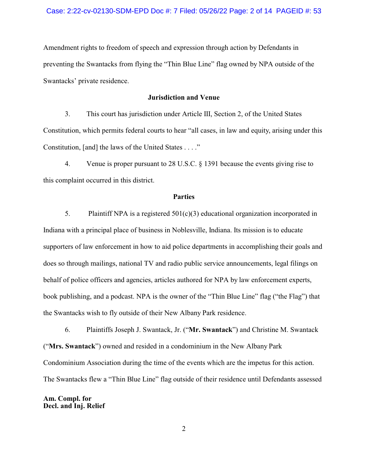Amendment rights to freedom of speech and expression through action by Defendants in preventing the Swantacks from flying the "Thin Blue Line" flag owned by NPA outside of the Swantacks' private residence.

### **Jurisdiction and Venue**

3. This court has jurisdiction under Article III, Section 2, of the United States Constitution, which permits federal courts to hear "all cases, in law and equity, arising under this Constitution, [and] the laws of the United States . . . ."

4. Venue is proper pursuant to 28 U.S.C. § 1391 because the events giving rise to this complaint occurred in this district.

#### **Parties**

5. Plaintiff NPA is a registered  $501(c)(3)$  educational organization incorporated in Indiana with a principal place of business in Noblesville, Indiana. Its mission is to educate supporters of law enforcement in how to aid police departments in accomplishing their goals and does so through mailings, national TV and radio public service announcements, legal filings on behalf of police officers and agencies, articles authored for NPA by law enforcement experts, book publishing, and a podcast. NPA is the owner of the "Thin Blue Line" flag ("the Flag") that the Swantacks wish to fly outside of their New Albany Park residence.

6. Plaintiffs Joseph J. Swantack, Jr. ("**Mr. Swantack**") and Christine M. Swantack ("**Mrs. Swantack**") owned and resided in a condominium in the New Albany Park Condominium Association during the time of the events which are the impetus for this action. The Swantacks flew a "Thin Blue Line" flag outside of their residence until Defendants assessed

**Am. Compl. for Decl. and Inj. Relief**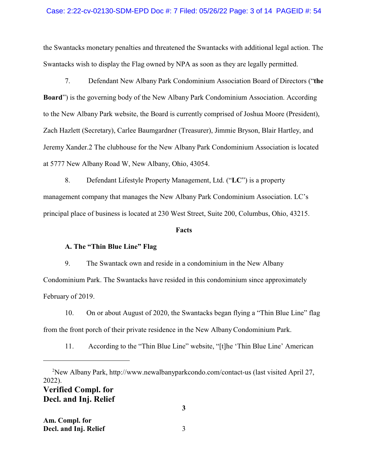#### Case: 2:22-cv-02130-SDM-EPD Doc #: 7 Filed: 05/26/22 Page: 3 of 14 PAGEID #: 54

the Swantacks monetary penalties and threatened the Swantacks with additional legal action. The Swantacks wish to display the Flag owned by NPA as soon as they are legally permitted.

7. Defendant New Albany Park Condominium Association Board of Directors ("**the Board**") is the governing body of the New Albany Park Condominium Association. According to the New Albany Park website, the Board is currently comprised of Joshua Moore (President), Zach Hazlett (Secretary), Carlee Baumgardner (Treasurer), Jimmie Bryson, Blair Hartley, and Jeremy Xander.2 The clubhouse for the New Albany Park Condominium Association is located at 5777 New Albany Road W, New Albany, Ohio, 43054.

8. Defendant Lifestyle Property Management, Ltd. ("**LC**") is a property management company that manages the New Albany Park Condominium Association. LC's principal place of business is located at 230 West Street, Suite 200, Columbus, Ohio, 43215.

#### **Facts**

#### **A. The "Thin Blue Line" Flag**

9. The Swantack own and reside in a condominium in the New Albany Condominium Park. The Swantacks have resided in this condominium since approximately February of 2019.

10. On or about August of 2020, the Swantacks began flying a "Thin Blue Line" flag from the front porch of their private residence in the New Albany Condominium Park.

11. According to the "Thin Blue Line" website, "[t]he 'Thin Blue Line' American

**Decl. and Inj. Relief** 

<sup>2</sup>New Albany Park, http://www.newalbanyparkcondo.com/contact-us (last visited April 27, 2022). **Verified Compl. for**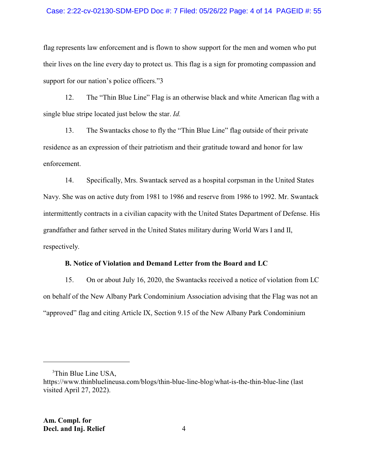#### Case: 2:22-cv-02130-SDM-EPD Doc #: 7 Filed: 05/26/22 Page: 4 of 14 PAGEID #: 55

flag represents law enforcement and is flown to show support for the men and women who put their lives on the line every day to protect us. This flag is a sign for promoting compassion and support for our nation's police officers."3

12. The "Thin Blue Line" Flag is an otherwise black and white American flag with a single blue stripe located just below the star. *Id.*

13. The Swantacks chose to fly the "Thin Blue Line" flag outside of their private residence as an expression of their patriotism and their gratitude toward and honor for law enforcement.

14. Specifically, Mrs. Swantack served as a hospital corpsman in the United States Navy. She was on active duty from 1981 to 1986 and reserve from 1986 to 1992. Mr. Swantack intermittently contracts in a civilian capacity with the United States Department of Defense. His grandfather and father served in the United States military during World Wars I and II, respectively.

#### **B. Notice of Violation and Demand Letter from the Board and LC**

15. On or about July 16, 2020, the Swantacks received a notice of violation from LC on behalf of the New Albany Park Condominium Association advising that the Flag was not an "approved" flag and citing Article IX, Section 9.15 of the New Albany Park Condominium

<sup>&</sup>lt;sup>3</sup>Thin Blue Line USA,

https://www.thinbluelineusa.com/blogs/thin-blue-line-blog/what-is-the-thin-blue-line (last visited April 27, 2022).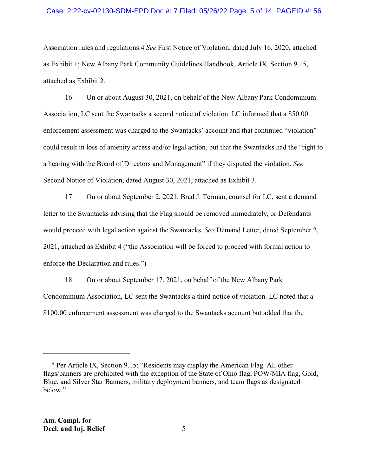#### Case: 2:22-cv-02130-SDM-EPD Doc #: 7 Filed: 05/26/22 Page: 5 of 14 PAGEID #: 56

Association rules and regulations.4 *See* First Notice of Violation, dated July 16, 2020, attached as Exhibit 1; New Albany Park Community Guidelines Handbook, Article IX, Section 9.15, attached as Exhibit 2.

16. On or about August 30, 2021, on behalf of the New Albany Park Condominium Association, LC sent the Swantacks a second notice of violation. LC informed that a \$50.00 enforcement assessment was charged to the Swantacks' account and that continued "violation" could result in loss of amenity access and/or legal action, but that the Swantacks had the "right to a hearing with the Board of Directors and Management" if they disputed the violation. *See* Second Notice of Violation, dated August 30, 2021, attached as Exhibit 3.

17. On or about September 2, 2021, Brad J. Terman, counsel for LC, sent a demand letter to the Swantacks advising that the Flag should be removed immediately, or Defendants would proceed with legal action against the Swantacks. *See* Demand Letter, dated September 2, 2021, attached as Exhibit 4 ("the Association will be forced to proceed with formal action to enforce the Declaration and rules.")

18. On or about September 17, 2021, on behalf of the New Albany Park Condominium Association, LC sent the Swantacks a third notice of violation. LC noted that a \$100.00 enforcement assessment was charged to the Swantacks account but added that the

<sup>&</sup>lt;sup>4</sup> Per Article IX, Section 9.15: "Residents may display the American Flag. All other flags/banners are prohibited with the exception of the State of Ohio flag, POW/MIA flag, Gold, Blue, and Silver Star Banners, military deployment banners, and team flags as designated below."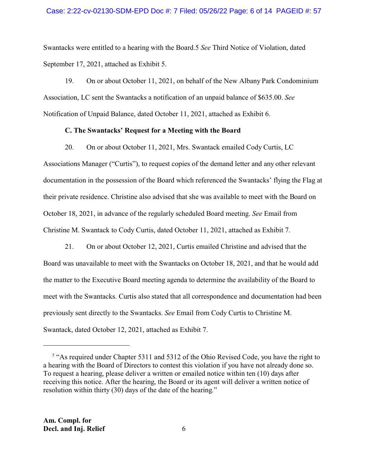Swantacks were entitled to a hearing with the Board.5 *See* Third Notice of Violation, dated September 17, 2021, attached as Exhibit 5.

19. On or about October 11, 2021, on behalf of the New Albany Park Condominium Association, LC sent the Swantacks a notification of an unpaid balance of \$635.00. *See* Notification of Unpaid Balance, dated October 11, 2021, attached as Exhibit 6.

#### **C. The Swantacks' Request for a Meeting with the Board**

20. On or about October 11, 2021, Mrs. Swantack emailed Cody Curtis, LC Associations Manager ("Curtis"), to request copies of the demand letter and any other relevant documentation in the possession of the Board which referenced the Swantacks' flying the Flag at their private residence. Christine also advised that she was available to meet with the Board on October 18, 2021, in advance of the regularly scheduled Board meeting. *See* Email from Christine M. Swantack to Cody Curtis, dated October 11, 2021, attached as Exhibit 7.

21. On or about October 12, 2021, Curtis emailed Christine and advised that the Board was unavailable to meet with the Swantacks on October 18, 2021, and that he would add the matter to the Executive Board meeting agenda to determine the availability of the Board to meet with the Swantacks. Curtis also stated that all correspondence and documentation had been previously sent directly to the Swantacks. *See* Email from Cody Curtis to Christine M. Swantack, dated October 12, 2021, attached as Exhibit 7.

<sup>&</sup>lt;sup>5</sup> "As required under Chapter 5311 and 5312 of the Ohio Revised Code, you have the right to a hearing with the Board of Directors to contest this violation if you have not already done so. To request a hearing, please deliver a written or emailed notice within ten (10) days after receiving this notice. After the hearing, the Board or its agent will deliver a written notice of resolution within thirty (30) days of the date of the hearing."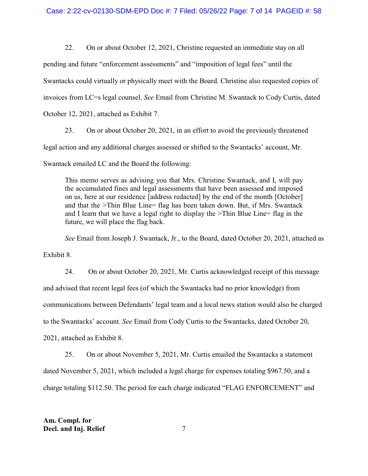22. On or about October 12, 2021, Christine requested an immediate stay on all

pending and future "enforcement assessments" and "imposition of legal fees" until the

Swantacks could virtually or physically meet with the Board. Christine also requested copies of

invoices from LC=s legal counsel. *See* Email from Christine M. Swantack to Cody Curtis, dated

October 12, 2021, attached as Exhibit 7.

23. On or about October 20, 2021, in an effort to avoid the previously threatened

legal action and any additional charges assessed or shifted to the Swantacks' account, Mr.

Swantack emailed LC and the Board the following:

This memo serves as advising you that Mrs. Christine Swantack, and I, will pay the accumulated fines and legal assessments that have been assessed and imposed on us, here at our residence [address redacted] by the end of the month [October] and that the >Thin Blue Line= flag has been taken down. But, if Mrs. Swantack and I learn that we have a legal right to display the >Thin Blue Line= flag in the future, we will place the flag back.

*See* Email from Joseph J. Swantack, Jr., to the Board, dated October 20, 2021, attached as

Exhibit 8.

24. On or about October 20, 2021, Mr. Curtis acknowledged receipt of this message and advised that recent legal fees (of which the Swantacks had no prior knowledge) from communications between Defendants' legal team and a local news station would also be charged to the Swantacks' account. *See* Email from Cody Curtis to the Swantacks, dated October 20, 2021, attached as Exhibit 8.

25. On or about November 5, 2021, Mr. Curtis emailed the Swantacks a statement dated November 5, 2021, which included a legal charge for expenses totaling \$967.50, and a charge totaling \$112.50. The period for each charge indicated "FLAG ENFORCEMENT" and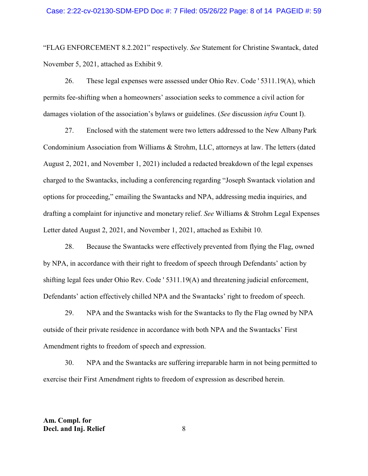"FLAG ENFORCEMENT 8.2.2021" respectively. *See* Statement for Christine Swantack, dated November 5, 2021, attached as Exhibit 9.

26. These legal expenses were assessed under Ohio Rev. Code ' 5311.19(A), which permits fee-shifting when a homeowners' association seeks to commence a civil action for damages violation of the association's bylaws or guidelines. (*See* discussion *infra* Count I).

27. Enclosed with the statement were two letters addressed to the New Albany Park Condominium Association from Williams & Strohm, LLC, attorneys at law. The letters (dated August 2, 2021, and November 1, 2021) included a redacted breakdown of the legal expenses charged to the Swantacks, including a conferencing regarding "Joseph Swantack violation and options for proceeding," emailing the Swantacks and NPA, addressing media inquiries, and drafting a complaint for injunctive and monetary relief. *See* Williams & Strohm Legal Expenses Letter dated August 2, 2021, and November 1, 2021, attached as Exhibit 10.

28. Because the Swantacks were effectively prevented from flying the Flag, owned by NPA, in accordance with their right to freedom of speech through Defendants' action by shifting legal fees under Ohio Rev. Code ' 5311.19(A) and threatening judicial enforcement, Defendants' action effectively chilled NPA and the Swantacks' right to freedom of speech.

29. NPA and the Swantacks wish for the Swantacks to fly the Flag owned by NPA outside of their private residence in accordance with both NPA and the Swantacks' First Amendment rights to freedom of speech and expression.

30. NPA and the Swantacks are suffering irreparable harm in not being permitted to exercise their First Amendment rights to freedom of expression as described herein.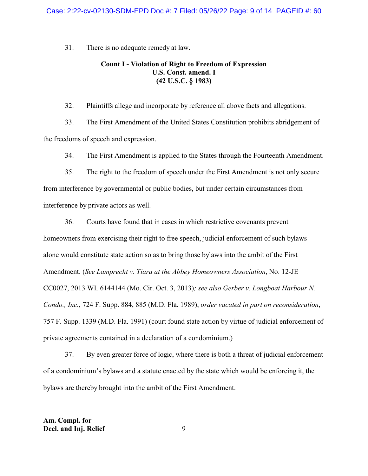31. There is no adequate remedy at law.

### **Count I - Violation of Right to Freedom of Expression U.S. Const. amend. I (42 U.S.C. § 1983)**

32. Plaintiffs allege and incorporate by reference all above facts and allegations.

33. The First Amendment of the United States Constitution prohibits abridgement of the freedoms of speech and expression.

34. The First Amendment is applied to the States through the Fourteenth Amendment.

35. The right to the freedom of speech under the First Amendment is not only secure from interference by governmental or public bodies, but under certain circumstances from interference by private actors as well.

36. Courts have found that in cases in which restrictive covenants prevent homeowners from exercising their right to free speech, judicial enforcement of such bylaws alone would constitute state action so as to bring those bylaws into the ambit of the First Amendment. (*See Lamprecht v. Tiara at the Abbey Homeowners Association*, No. 12-JE CC0027, 2013 WL 6144144 (Mo. Cir. Oct. 3, 2013)*; see also Gerber v. Longboat Harbour N. Condo., Inc.*, 724 F. Supp. 884, 885 (M.D. Fla. 1989), *order vacated in part on reconsideration*, 757 F. Supp. 1339 (M.D. Fla. 1991) (court found state action by virtue of judicial enforcement of private agreements contained in a declaration of a condominium.)

37. By even greater force of logic, where there is both a threat of judicial enforcement of a condominium's bylaws and a statute enacted by the state which would be enforcing it, the bylaws are thereby brought into the ambit of the First Amendment.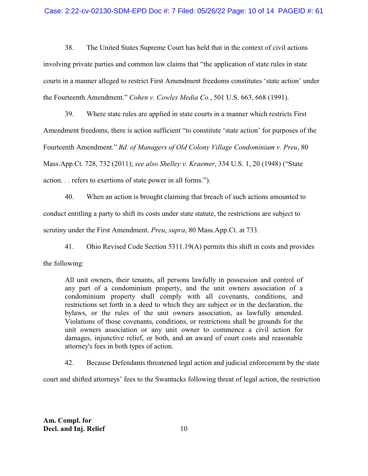#### Case: 2:22-cv-02130-SDM-EPD Doc #: 7 Filed: 05/26/22 Page: 10 of 14 PAGEID #: 61

38. The United States Supreme Court has held that in the context of civil actions involving private parties and common law claims that "the application of state rules in state courts in a manner alleged to restrict First Amendment freedoms constitutes 'state action' under the Fourteenth Amendment." *Cohen v. Cowles Media Co.*, 501 U.S. 663, 668 (1991).

39. Where state rules are applied in state courts in a manner which restricts First Amendment freedoms, there is action sufficient "to constitute 'state action' for purposes of the Fourteenth Amendment." *Bd. of Managers of Old Colony Village Condominium v. Preu*, 80 Mass.App.Ct. 728, 732 (2011); *see also Shelley v. Kraemer*, 334 U.S. 1, 20 (1948) ("State action. . . refers to exertions of state power in all forms.").

40. When an action is brought claiming that breach of such actions amounted to conduct entitling a party to shift its costs under state statute, the restrictions are subject to scrutiny under the First Amendment. *Preu*, *supra*, 80 Mass.App.Ct. at 733.

41. Ohio Revised Code Section 5311.19(A) permits this shift in costs and provides the following:

All unit owners, their tenants, all persons lawfully in possession and control of any part of a condominium property, and the unit owners association of a condominium property shall comply with all covenants, conditions, and restrictions set forth in a deed to which they are subject or in the declaration, the bylaws, or the rules of the unit owners association, as lawfully amended. Violations of those covenants, conditions, or restrictions shall be grounds for the unit owners association or any unit owner to commence a civil action for damages, injunctive relief, or both, and an award of court costs and reasonable attorney's fees in both types of action.

42. Because Defendants threatened legal action and judicial enforcement by the state

court and shifted attorneys' fees to the Swantacks following threat of legal action, the restriction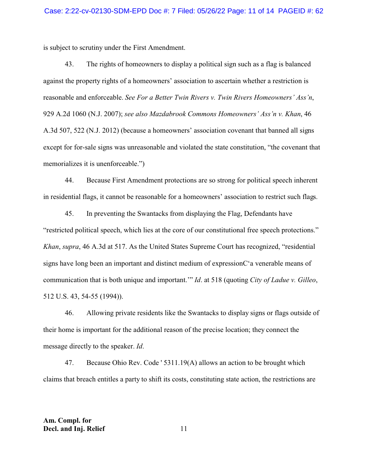is subject to scrutiny under the First Amendment.

43. The rights of homeowners to display a political sign such as a flag is balanced against the property rights of a homeowners' association to ascertain whether a restriction is reasonable and enforceable. *See For a Better Twin Rivers v. Twin Rivers Homeowners' Ass'n*, 929 A.2d 1060 (N.J. 2007); *see also Mazdabrook Commons Homeowners' Ass'n v. Khan*, 46 A.3d 507, 522 (N.J. 2012) (because a homeowners' association covenant that banned all signs except for for-sale signs was unreasonable and violated the state constitution, "the covenant that memorializes it is unenforceable.")

44. Because First Amendment protections are so strong for political speech inherent in residential flags, it cannot be reasonable for a homeowners' association to restrict such flags.

45. In preventing the Swantacks from displaying the Flag, Defendants have "restricted political speech, which lies at the core of our constitutional free speech protections." *Khan*, *supra*, 46 A.3d at 517. As the United States Supreme Court has recognized, "residential signs have long been an important and distinct medium of expressionC'a venerable means of communication that is both unique and important.'" *Id*. at 518 (quoting *City of Ladue v. Gilleo*, 512 U.S. 43, 54-55 (1994)).

46. Allowing private residents like the Swantacks to display signs or flags outside of their home is important for the additional reason of the precise location; they connect the message directly to the speaker. *Id*.

47. Because Ohio Rev. Code ' 5311.19(A) allows an action to be brought which claims that breach entitles a party to shift its costs, constituting state action, the restrictions are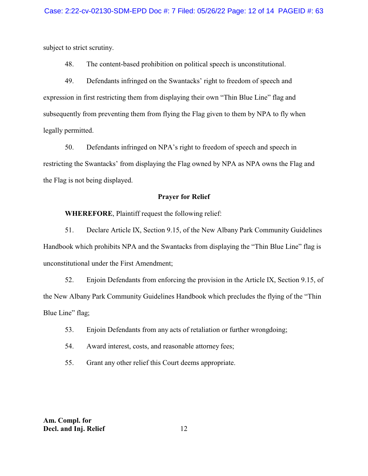subject to strict scrutiny.

48. The content-based prohibition on political speech is unconstitutional.

49. Defendants infringed on the Swantacks' right to freedom of speech and expression in first restricting them from displaying their own "Thin Blue Line" flag and subsequently from preventing them from flying the Flag given to them by NPA to fly when legally permitted.

50. Defendants infringed on NPA's right to freedom of speech and speech in restricting the Swantacks' from displaying the Flag owned by NPA as NPA owns the Flag and the Flag is not being displayed.

#### **Prayer for Relief**

**WHEREFORE**, Plaintiff request the following relief:

51. Declare Article IX, Section 9.15, of the New Albany Park Community Guidelines Handbook which prohibits NPA and the Swantacks from displaying the "Thin Blue Line" flag is unconstitutional under the First Amendment;

52. Enjoin Defendants from enforcing the provision in the Article IX, Section 9.15, of the New Albany Park Community Guidelines Handbook which precludes the flying of the "Thin Blue Line" flag;

- 53. Enjoin Defendants from any acts of retaliation or further wrongdoing;
- 54. Award interest, costs, and reasonable attorney fees;
- 55. Grant any other relief this Court deems appropriate.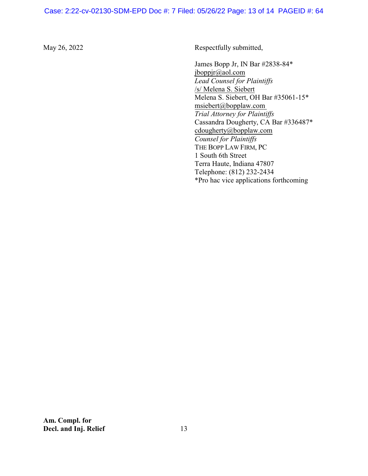### Case: 2:22-cv-02130-SDM-EPD Doc #: 7 Filed: 05/26/22 Page: 13 of 14 PAGEID #: 64

May 26, 2022 Respectfully submitted,

James Bopp Jr, IN Bar #2838-84\* jboppjr@aol.com *Lead Counsel for Plaintiffs* /s/ Melena S. Siebert Melena S. Siebert, OH Bar #35061-15\* msiebert@bopplaw.com *Trial Attorney for Plaintiffs*  Cassandra Dougherty, CA Bar #336487\* cdougherty@bopplaw.com *Counsel for Plaintiffs*  THE BOPP LAW FIRM, PC 1 South 6th Street Terra Haute, Indiana 47807 Telephone: (812) 232-2434 \*Pro hac vice applications forthcoming